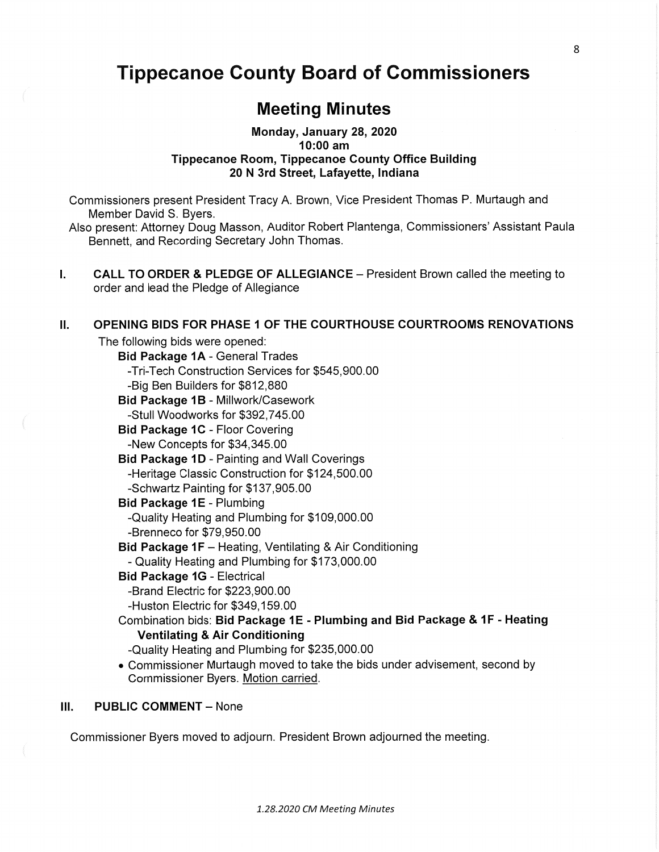# **Tippecanoe** County Board of **Commissioners**

# Meeting Minutes

## **Monday, January** 28, 2020 **10:00** am **Tippecanoe** Room, **Tippecanoe** County **Office** Building 20 N 3rd **Street, Lafayette, Indiana**

**Commissioners** present President **Tracy** A. Brown, Vice President Thomas P. Murtaugh and Member David S. Byers.

Also present: Attorney Doug *Masson,* Auditor Robert Plantenga, **Commissioners'** Assistant Paula Bennett, and Recording Secretary John Thomas.

I. CALL TO ORDER **&** PLEDGE OF ALLEGIANCE **—** President Brown called the meeting to order and lead the Pledge of Allegiance

#### ll. **OPENING BIDS** FOR PHASE 1 OF THE **COURTHOUSE** COURTROOMS RENOVATIONS

The following **bids** were opened:

Bid **Package** 1A *-* General Trades -Tri-Tech Construction Services for \$545,900.00 -Big Ben Builders for \$812,880 **Bid Package 1B - Millwork/Casework** -Stu|l Woodworks for \$392,745.00 Bid Package 1C - Floor Covering -New **Concepts** for \$34,345.00 Bid **Package** 1D *-* Painting and Wall Coverings -Heritage Classic Construction for \$124,500.00 -Schwartz Painting for \$137,905.00 Bid **Package** 1E *-* Plumbing —Quality Heating and Plumbing for \$109,000.00 -Brenneco for \$79,950.00 Bid **Package** 1F **—** Heating, Ventilating & Air Conditioning

**-** Quality Heating and Plumbing for \$173,000.00

#### Bid **Package** 16 *-* Electrical

- —Brand Electric for \$223,900.00
- -Huston Electric for \$349,159.00
- Combination bids: Bid **Package** 1E Plumbing and Bid **Package &** 1F **Heating Ventilating &** Air **Conditioning** 
	- -Quality Heating and Plumbing for \$235,000.00
- *.* **Commissioner** Murtaugh moved to take the **bids** under advisement, second by Commissioner Byers. Motion carried.

#### **III.** PUBLIC COMMENT - None

Commissioner Byers moved to adjourn. President Brown adjourned the meeting.